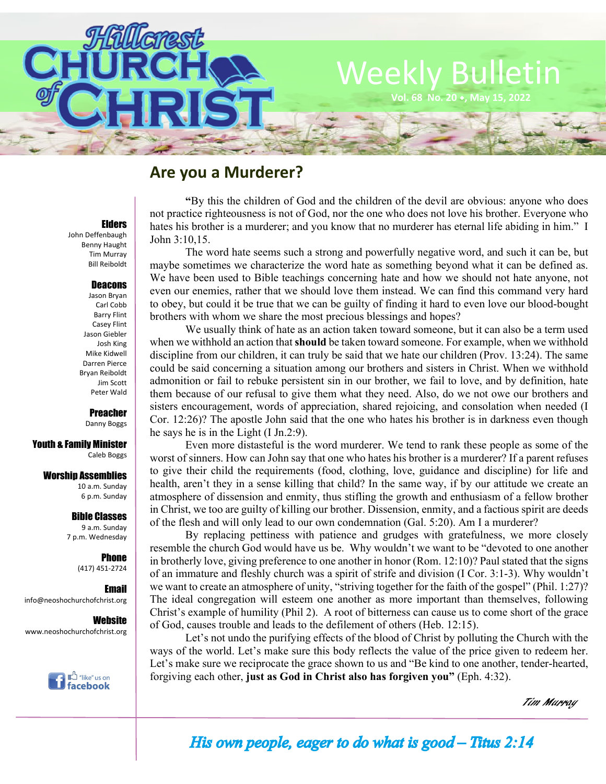

# **Are you a Murderer?**

## Elders

John Deffenbaugh Benny Haught Tim Murray Bill Reiboldt

### Deacons

Jason Bryan Carl Cobb Barry Flint Casey Flint Jason Giebler Josh King Mike Kidwell Darren Pierce Bryan Reiboldt Jim Scott Peter Wald

Preacher

Danny Boggs

#### Youth & Family Minister Caleb Boggs

#### Worship Assemblies

10 a.m. Sunday 6 p.m. Sunday

## Bible Classes

9 a.m. Sunday 7 p.m. Wednesday

> **Phone** (417) 451-2724

Email info@neoshochurchofchrist.org

**Website** www.neoshochurchofchrist.org



**"**By this the children of God and the children of the devil are obvious: anyone who does not practice righteousness is not of God, nor the one who does not love his brother. Everyone who hates his brother is a murderer; and you know that no murderer has eternal life abiding in him." I John 3:10,15.

 The word hate seems such a strong and powerfully negative word, and such it can be, but maybe sometimes we characterize the word hate as something beyond what it can be defined as. We have been used to Bible teachings concerning hate and how we should not hate anyone, not even our enemies, rather that we should love them instead. We can find this command very hard to obey, but could it be true that we can be guilty of finding it hard to even love our blood-bought brothers with whom we share the most precious blessings and hopes?

 We usually think of hate as an action taken toward someone, but it can also be a term used when we withhold an action that **should** be taken toward someone. For example, when we withhold discipline from our children, it can truly be said that we hate our children (Prov. 13:24). The same could be said concerning a situation among our brothers and sisters in Christ. When we withhold admonition or fail to rebuke persistent sin in our brother, we fail to love, and by definition, hate them because of our refusal to give them what they need. Also, do we not owe our brothers and sisters encouragement, words of appreciation, shared rejoicing, and consolation when needed (I Cor. 12:26)? The apostle John said that the one who hates his brother is in darkness even though he says he is in the Light (I Jn.2:9).

 Even more distasteful is the word murderer. We tend to rank these people as some of the worst of sinners. How can John say that one who hates his brother is a murderer? If a parent refuses to give their child the requirements (food, clothing, love, guidance and discipline) for life and health, aren't they in a sense killing that child? In the same way, if by our attitude we create an atmosphere of dissension and enmity, thus stifling the growth and enthusiasm of a fellow brother in Christ, we too are guilty of killing our brother. Dissension, enmity, and a factious spirit are deeds of the flesh and will only lead to our own condemnation (Gal. 5:20). Am I a murderer?

 By replacing pettiness with patience and grudges with gratefulness, we more closely resemble the church God would have us be. Why wouldn't we want to be "devoted to one another in brotherly love, giving preference to one another in honor (Rom. 12:10)? Paul stated that the signs of an immature and fleshly church was a spirit of strife and division (I Cor. 3:1-3). Why wouldn't we want to create an atmosphere of unity, "striving together for the faith of the gospel" (Phil. 1:27)? The ideal congregation will esteem one another as more important than themselves, following Christ's example of humility (Phil 2). A root of bitterness can cause us to come short of the grace of God, causes trouble and leads to the defilement of others (Heb. 12:15).

 Let's not undo the purifying effects of the blood of Christ by polluting the Church with the ways of the world. Let's make sure this body reflects the value of the price given to redeem her. Let's make sure we reciprocate the grace shown to us and "Be kind to one another, tender-hearted, forgiving each other, **just as God in Christ also has forgiven you"** (Eph. 4:32).

```
 Tim Murray
```
His own people, eager to do what is good  $-$  Titus 2:14